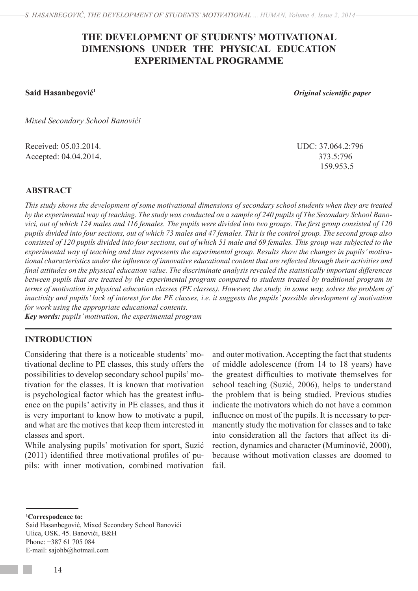# **THE DEVELOPMENT OF STUDENTS' MOTIVATIONAL DIMENSIONS UNDER THE PHYSICAL EDUCATION EXPERIMENTAL PROGRAMME**

#### **Said Hasanbegović<sup>1</sup>**

*Original scientific paper*

*Mixed Secondary School Banovići*

Received: 05.03.2014. UDC: 37.064.2:796 Accepted: 04.04.2014. 373.5:796

159.953.5

### **ABSTRACT**

*This study shows the development of some motivational dimensions of secondary school students when they are treated by the experimental way of teaching. The study was conducted on a sample of 240 pupils of The Secondary School Banovici, out of which 124 males and 116 females. The pupils were divided into two groups. The first group consisted of 120 pupils divided into four sections, out of which 73 males and 47 females. This is the control group. The second group also consisted of 120 pupils divided into four sections, out of which 51 male and 69 females. This group was subjected to the experimental way of teaching and thus represents the experimental group. Results show the changes in pupils' motivational characteristics under the influence of innovative educational content that are reflected through their activities and final attitudes on the physical education value. The discriminate analysis revealed the statistically important differences*  between pupils that are treated by the experimental program compared to students treated by traditional program in *terms of motivation in physical education classes (PE classes). However, the study, in some way, solves the problem of inactivity and pupils' lack of interest for the PE classes, i.e. it suggests the pupils' possible development of motivation for work using the appropriate educational contents.* 

*Key words: pupils' motivation, the experimental program* 

#### **INTRODUCTION**

Considering that there is a noticeable students' motivational decline to PE classes, this study offers the possibilities to develop secondary school pupils' motivation for the classes. It is known that motivation is psychological factor which has the greatest influence on the pupils' activity in PE classes, and thus it is very important to know how to motivate a pupil, and what are the motives that keep them interested in classes and sport.

While analysing pupils' motivation for sport, Suzić (2011) identified three motivational profiles of pupils: with inner motivation, combined motivation and outer motivation. Accepting the fact that students of middle adolescence (from 14 to 18 years) have the greatest difficulties to motivate themselves for school teaching (Suzić, 2006), helps to understand the problem that is being studied. Previous studies indicate the motivators which do not have a common influence on most of the pupils. It is necessary to permanently study the motivation for classes and to take into consideration all the factors that affect its direction, dynamics and character (Muminović, 2000), because without motivation classes are doomed to fail.

**1 Correspodence to:**

Said Hasanbegović, Mixed Secondary School Banovići Ulica, OSK. 45. Banovići, B&H Phone: +387 61 705 084 E-mail: sajohb@hotmail.com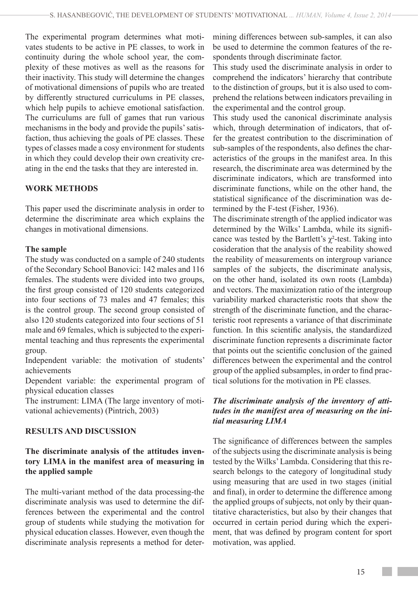The experimental program determines what motivates students to be active in PE classes, to work in continuity during the whole school year, the complexity of these motives as well as the reasons for their inactivity. This study will determine the changes of motivational dimensions of pupils who are treated by differently structured curriculums in PE classes, which help pupils to achieve emotional satisfaction. The curriculums are full of games that run various mechanisms in the body and provide the pupils' satisfaction, thus achieving the goals of PE classes. These types of classes made a cosy environment for students in which they could develop their own creativity creating in the end the tasks that they are interested in.

# **WORK METHODS**

This paper used the discriminate analysis in order to determine the discriminate area which explains the changes in motivational dimensions.

### **The sample**

The study was conducted on a sample of 240 students of the Secondary School Banovici: 142 males and 116 females. The students were divided into two groups, the first group consisted of 120 students categorized into four sections of 73 males and 47 females; this is the control group. The second group consisted of also 120 students categorized into four sections of 51 male and 69 females, which is subjected to the experimental teaching and thus represents the experimental group.

Independent variable: the motivation of students' achievements

Dependent variable: the experimental program of physical education classes

The instrument: LIMA (The large inventory of motivational achievements) (Pintrich, 2003)

# **RESULTS AND DISCUSSION**

# **The discriminate analysis of the attitudes inventory LIMA in the manifest area of measuring in the applied sample**

The multi-variant method of the data processing-the discriminate analysis was used to determine the differences between the experimental and the control group of students while studying the motivation for physical education classes. However, even though the discriminate analysis represents a method for deter-

mining differences between sub-samples, it can also be used to determine the common features of the respondents through discriminate factor.

This study used the discriminate analysis in order to comprehend the indicators' hierarchy that contribute to the distinction of groups, but it is also used to comprehend the relations between indicators prevailing in the experimental and the control group.

This study used the canonical discriminate analysis which, through determination of indicators, that offer the greatest contribution to the discrimination of sub-samples of the respondents, also defines the characteristics of the groups in the manifest area. In this research, the discriminate area was determined by the discriminate indicators, which are transformed into discriminate functions, while on the other hand, the statistical significance of the discrimination was determined by the F-test (Fisher, 1936).

The discriminate strength of the applied indicator was determined by the Wilks' Lambda, while its significance was tested by the Bartlett's  $\chi^2$ -test. Taking into cosideration that the analysis of the reability showed the reability of measurements on intergroup variance samples of the subjects, the discriminate analysis, on the other hand, isolated its own roots (Lambda) and vectors. The maximization ratio of the intergroup variability marked characteristic roots that show the strength of the discriminate function, and the characteristic root represents a variance of that discriminate function. In this scientific analysis, the standardized discriminate function represents a discriminate factor that points out the scientific conclusion of the gained differences between the experimental and the control group of the applied subsamples, in order to find practical solutions for the motivation in PE classes.

# *The discriminate analysis of the inventory of attitudes in the manifest area of measuring on the initial measuring LIMA*

The significance of differences between the samples of the subjects using the discriminate analysis is being tested by the Wilks' Lambda. Considering that this research belongs to the category of longitudinal study using measuring that are used in two stages (initial and final), in order to determine the difference among the applied groups of subjects, not only by their quantitative characteristics, but also by their changes that occurred in certain period during which the experiment, that was defined by program content for sport motivation, was applied.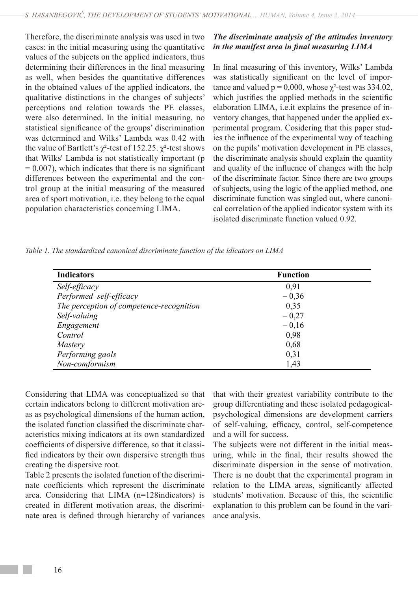Therefore, the discriminate analysis was used in two cases: in the initial measuring using the quantitative values of the subjects on the applied indicators, thus determining their differences in the final measuring as well, when besides the quantitative differences in the obtained values of the applied indicators, the qualitative distinctions in the changes of subjects' perceptions and relation towards the PE classes, were also determined. In the initial measuring, no statistical significance of the groups' discrimination was determined and Wilks' Lambda was 0.42 with the value of Bartlett's  $χ$ <sup>2</sup>-test of 152.25.  $χ$ <sup>2</sup>-test shows that Wilks' Lambda is not statistically important (p  $= 0.007$ ), which indicates that there is no significant differences between the experimental and the control group at the initial measuring of the measured area of sport motivation, i.e. they belong to the equal population characteristics concerning LIMA.

## *The discriminate analysis of the attitudes inventory in the manifest area in final measuring LIMA*

In final measuring of this inventory, Wilks' Lambda was statistically significant on the level of importance and valued  $p = 0,000$ , whose  $\chi^2$ -test was 334.02, which justifies the applied methods in the scientific elaboration LIMA, i.e.it explains the presence of inventory changes, that happened under the applied experimental program. Cosidering that this paper studies the influence of the experimental way of teaching on the pupils' motivation development in PE classes, the discriminate analysis should explain the quantity and quality of the influence of changes with the help of the discriminate factor. Since there are two groups of subjects, using the logic of the applied method, one discriminate function was singled out, where canonical correlation of the applied indicator system with its isolated discriminate function valued 0.92.

*Table 1. The standardized canonical discriminate function of the idicators on LIMA*

| <b>Indicators</b>                        | <b>Function</b> |  |
|------------------------------------------|-----------------|--|
| Self-efficacy                            | 0,91            |  |
| Performed self-efficacy                  | $-0,36$         |  |
| The perception of competence-recognition | 0,35            |  |
| Self-valuing                             | $-0,27$         |  |
| Engagement                               | $-0,16$         |  |
| Control                                  | 0,98            |  |
| <b>Mastery</b>                           | 0,68            |  |
| Performing gaols                         | 0,31            |  |
| Non-comformism                           | 1,43            |  |

Considering that LIMA was conceptualized so that certain indicators belong to different motivation areas as psychological dimensions of the human action, the isolated function classified the discriminate characteristics mixing indicators at its own standardized coefficients of dispersive difference, so that it classified indicators by their own dispersive strength thus creating the dispersive root.

Table 2 presents the isolated function of the discriminate coefficients which represent the discriminate area. Considering that LIMA (n=128indicators) is created in different motivation areas, the discriminate area is defined through hierarchy of variances

that with their greatest variability contribute to the group differentiating and these isolated pedagogicalpsychological dimensions are development carriers of self-valuing, efficacy, control, self-competence and a will for success.

The subjects were not different in the initial measuring, while in the final, their results showed the discriminate dispersion in the sense of motivation. There is no doubt that the experimental program in relation to the LIMA areas, significantly affected students' motivation. Because of this, the scientific explanation to this problem can be found in the variance analysis.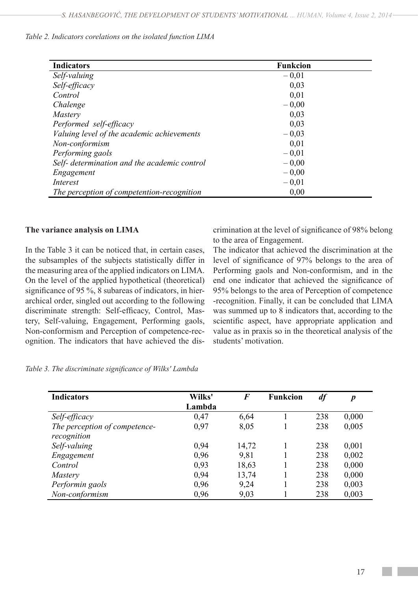| Table 2. Indicators corelations on the isolated function LIMA |  |  |
|---------------------------------------------------------------|--|--|
|---------------------------------------------------------------|--|--|

| <b>Indicators</b>                            | <b>Funkcion</b> |
|----------------------------------------------|-----------------|
| Self-valuing                                 | $-0.01$         |
| Self-efficacy                                | 0,03            |
| Control                                      | 0,01            |
| Chalenge                                     | $-0.00$         |
| <b>Mastery</b>                               | 0.03            |
| Performed self-efficacy                      | 0,03            |
| Valuing level of the academic achievements   | $-0.03$         |
| Non-conformism                               | 0,01            |
| Performing gaols                             | $-0.01$         |
| Self- determination and the academic control | $-0.00$         |
| Engagement                                   | $-0.00$         |
| Interest                                     | $-0.01$         |
| The perception of competention-recognition   | 0,00            |

### **The variance analysis on LIMA**

In the Table 3 it can be noticed that, in certain cases, the subsamples of the subjects statistically differ in the measuring area of the applied indicators on LIMA. On the level of the applied hypothetical (theoretical) significance of 95 %, 8 subareas of indicators, in hierarchical order, singled out according to the following discriminate strength: Self-efficacy, Control, Mastery, Self-valuing, Engagement, Performing gaols, Non-conformism and Perception of competence-recognition. The indicators that have achieved the discrimination at the level of significance of 98% belong to the area of Engagement.

The indicator that achieved the discrimination at the level of significance of 97% belongs to the area of Performing gaols and Non-conformism, and in the end one indicator that achieved the significance of 95% belongs to the area of Perception of competence -recognition. Finally, it can be concluded that LIMA was summed up to 8 indicators that, according to the scientific aspect, have appropriate application and value as in praxis so in the theoretical analysis of the students' motivation.

| <b>Indicators</b>                            | Wilks'<br>Lambda | $\boldsymbol{F}$ | <b>Funkcion</b> | df  | $\boldsymbol{p}$ |
|----------------------------------------------|------------------|------------------|-----------------|-----|------------------|
| Self-efficacy                                | 0.47             | 6,64             |                 | 238 | 0,000            |
| The perception of competence-<br>recognition | 0,97             | 8,05             |                 | 238 | 0,005            |
| Self-valuing                                 | 0,94             | 14,72            |                 | 238 | 0,001            |
| Engagement                                   | 0,96             | 9,81             |                 | 238 | 0,002            |
| Control                                      | 0,93             | 18,63            |                 | 238 | 0,000            |
| <i>Mastery</i>                               | 0,94             | 13,74            |                 | 238 | 0,000            |
| Performin gaols                              | 0,96             | 9,24             |                 | 238 | 0,003            |
| Non-conformism                               | 0,96             | 9,03             |                 | 238 | 0,003            |

*Table 3. The discriminate significance of Wilks' Lambda*